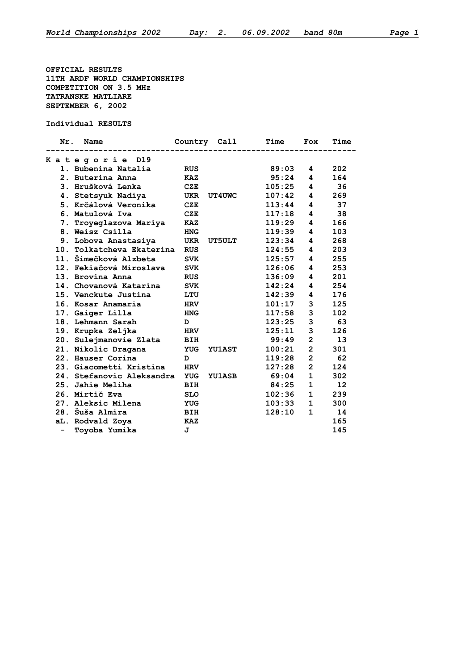**OFFICIAL RESULTS 11TH ARDF WORLD CHAMPIONSHIPS COMPETITION ON 3.5 MHz TATRANSKE MATLIARE SEPTEMBER 6, 2002**

**Individual RESULTS**

| Nr.                      | Name                      |            | Country Call  | Time   | Fox            | Time              |
|--------------------------|---------------------------|------------|---------------|--------|----------------|-------------------|
|                          | Kategorie D19             |            |               |        |                |                   |
|                          | 1. Bubenina Natalia       | <b>RUS</b> |               | 89:03  | 4              | 202               |
|                          | 2. Buterina Anna          | <b>KAZ</b> |               | 95:24  | 4              | 164               |
|                          | 3. Hrušková Lenka         | <b>CZE</b> |               | 105:25 | 4              | 36                |
|                          | 4. Stetsyuk Nadiya        | UKR        | <b>UT4UWC</b> | 107:42 | 4              | 269               |
|                          | 5. Krčálová Veronika      | <b>CZE</b> |               | 113:44 | 4              | 37                |
|                          | 6. Matulová Iva           | <b>CZE</b> |               | 117:18 | 4              | 38                |
|                          | 7. Troyeglazova Mariya    | KAZ        |               | 119:29 | 4              | 166               |
|                          | 8. Weisz Csilla           | <b>HNG</b> |               | 119:39 | 4              | 103               |
|                          | 9. Lobova Anastasiya      | <b>UKR</b> | <b>UT5ULT</b> | 123:34 | 4              | 268               |
|                          | 10. Tolkatcheva Ekaterina | <b>RUS</b> |               | 124:55 | 4              | 203               |
|                          | 11. Šimečková Alzbeta     | <b>SVK</b> |               | 125:57 | 4              | 255               |
|                          | 12. Fekiačová Miroslava   | <b>SVK</b> |               | 126:06 | 4              | 253               |
|                          | 13. Brovina Anna          | <b>RUS</b> |               | 136:09 | 4              | 201               |
|                          | 14. Chovanová Katarína    | <b>SVK</b> |               | 142:24 | 4              | 254               |
|                          | 15. Venckute Justina      | LTU        |               | 142:39 | 4              | 176               |
|                          | 16. Kosar Anamaria        | <b>HRV</b> |               | 101:17 | 3              | 125               |
|                          | 17. Gaiger Lilla          | <b>HNG</b> |               | 117:58 | 3              | 102               |
|                          | 18. Lehmann Sarah         | D          |               | 123:25 | 3              | 63                |
|                          | 19. Krupka Zeljka         | <b>HRV</b> |               | 125:11 | 3              | 126               |
|                          | 20. Sulejmanovie Zlata    | <b>BIH</b> |               | 99:49  | $\overline{2}$ | 13                |
|                          | 21. Nikolic Dragana       | <b>YUG</b> | <b>YU1AST</b> | 100:21 | $\overline{2}$ | 301               |
|                          | 22. Hauser Corina         | D          |               | 119:28 | $\overline{2}$ | 62                |
|                          | 23. Giacometti Kristina   | <b>HRV</b> |               | 127:28 | $\overline{2}$ | 124               |
|                          | 24. Stefanovic Aleksandra | <b>YUG</b> | <b>YU1ASB</b> | 69:04  | $\mathbf{1}$   | 302               |
|                          | 25. Jahie Meliha          | <b>BIH</b> |               | 84:25  | $\mathbf{1}$   | $12 \overline{ }$ |
|                          | 26. Mirtič Eva            | <b>SLO</b> |               | 102:36 | $\mathbf{1}$   | 239               |
|                          | 27. Aleksic Milena        | <b>YUG</b> |               | 103:33 | $\mathbf{1}$   | 300               |
|                          | 28. Šuša Almira           | <b>BIH</b> |               | 128:10 | $\mathbf{1}$   | 14                |
|                          | aL. Rodvald Zoya          | <b>KAZ</b> |               |        |                | 165               |
| $\overline{\phantom{a}}$ | Tovoba Yumika             | J          |               |        |                | 145               |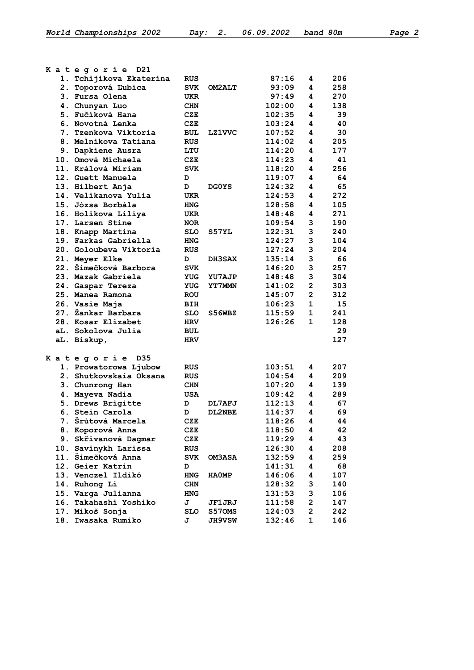| and 80m |  |  |
|---------|--|--|
|         |  |  |
|         |  |  |
|         |  |  |

|  | Kategorie D21           |            |               |        |                         |     |
|--|-------------------------|------------|---------------|--------|-------------------------|-----|
|  | 1. Tchijikova Ekaterina | <b>RUS</b> |               | 87:16  | 4                       | 206 |
|  | 2. Toporová Ľubica      | <b>SVK</b> | <b>OM2ALT</b> | 93:09  | 4                       | 258 |
|  | 3. Fursa Olena          | UKR        |               | 97:49  | 4                       | 270 |
|  | 4. Chunyan Luo          | <b>CHN</b> |               | 102:00 | 4                       | 138 |
|  | 5. Fučíková Hana        | CZE        |               | 102:35 | 4                       | 39  |
|  | 6. Novotná Lenka        | CZE        |               | 103:24 | 4                       | 40  |
|  | 7. Tzenkova Viktoria    | <b>BUL</b> | <b>LZ1VVC</b> | 107:52 | 4                       | 30  |
|  | 8. Melnikova Tatiana    | <b>RUS</b> |               | 114:02 | 4                       | 205 |
|  | 9. Dapkiene Ausra       | LTU        |               | 114:20 | 4                       | 177 |
|  | 10. Omová Michaela      | CZE        |               | 114:23 | 4                       | 41  |
|  | 11. Králová Miriam      | <b>SVK</b> |               | 118:20 | 4                       | 256 |
|  | 12. Guett Manuela       | D          |               | 119:07 | 4                       | 64  |
|  | 13. Hilbert Anja        | D          | <b>DGOYS</b>  | 124:32 | 4                       | 65  |
|  | 14. Velikanova Yulia    | UKR        |               | 124:53 | 4                       | 272 |
|  | 15. Józsa Borbála       | <b>HNG</b> |               | 128:58 | 4                       | 105 |
|  | 16. Holikova Liliya     | UKR        |               | 148:48 | 4                       | 271 |
|  | 17. Larsen Stine        | <b>NOR</b> |               | 109:54 | 3                       | 190 |
|  | 18. Knapp Martina       | <b>SLO</b> | S57YL         | 122:31 | 3                       | 240 |
|  | 19. Farkas Gabriella    | <b>HNG</b> |               | 124:27 | 3                       | 104 |
|  | 20. Goloubeva Viktoria  | <b>RUS</b> |               | 127:24 | 3                       | 204 |
|  | 21. Meyer Elke          | D          | <b>DH3SAX</b> | 135:14 | 3                       | 66  |
|  | 22. Šimečková Barbora   | <b>SVK</b> |               | 146:20 | 3                       | 257 |
|  | 23. Mazak Gabriela      | YUG        | YU7AJP        | 148:48 | 3                       | 304 |
|  | 24. Gaspar Tereza       | YUG        | <b>YT7MMN</b> | 141:02 | $\overline{2}$          | 303 |
|  | 25. Manea Ramona        | <b>ROU</b> |               | 145:07 | $\overline{2}$          | 312 |
|  | 26. Vasie Maja          | BIH        |               | 106:23 | 1                       | 15  |
|  | 27. Žankar Barbara      | <b>SLO</b> | S56WBZ        | 115:59 | $\mathbf 1$             | 241 |
|  | 28. Kosar Elizabet      | <b>HRV</b> |               | 126:26 | $\mathbf{1}$            | 128 |
|  | aL. Sokolova Julia      | BUL        |               |        |                         | 29  |
|  | aL. Biskup,             | HRV        |               |        |                         | 127 |
|  | Kategorie D35           |            |               |        |                         |     |
|  | 1. Prowatorowa Ljubow   | <b>RUS</b> |               | 103:51 | 4                       | 207 |
|  | 2. Shutkovskaia Oksana  | <b>RUS</b> |               | 104:54 | 4                       | 209 |
|  | 3. Chunrong Han         | <b>CHN</b> |               | 107:20 | 4                       | 139 |
|  | 4. Mayeva Nadia         | <b>USA</b> |               | 109:42 | 4                       | 289 |
|  | 5. Drews Brigitte       | D          | DL7AFJ        | 112:13 | 4                       | 67  |
|  | 6. Stein Carola         | D          | DL2NBE        | 114:37 | 4                       | 69  |
|  | 7. Šrůtová Marcela      | CZE        |               | 118:26 | $\overline{a}$          | 44  |
|  | 8. Koporová Anna        | CZE        |               | 118:50 | 4                       | 42  |
|  | 9. Skřivanová Dagmar    | CZE        |               | 119:29 | 4                       | 43  |
|  | 10. Savinykh Larissa    | <b>RUS</b> |               | 126:30 | 4                       | 208 |
|  | 11. Šimečková Anna      | <b>SVK</b> | <b>OM3ASA</b> | 132:59 | 4                       | 259 |
|  | 12. Geier Katrin        | D          |               | 141:31 | 4                       | 68  |
|  | 13. Venczel Ildikó      | <b>HNG</b> | <b>HAOMP</b>  | 146:06 | 4                       | 107 |
|  | 14. Ruhong Li           | <b>CHN</b> |               | 128:32 | 3                       | 140 |
|  | 15. Varga Julianna      | <b>HNG</b> |               | 131:53 | 3                       | 106 |
|  | 16. Takahashi Yoshiko   | J          | JF1JRJ        | 111:58 | 2                       | 147 |
|  | 17. Mikoš Sonja         | SLO        | S570MS        | 124:03 | $\overline{\mathbf{c}}$ | 242 |
|  | 18. Iwasaka Rumiko      | J          | <b>JH9VSW</b> | 132:46 | 1                       | 146 |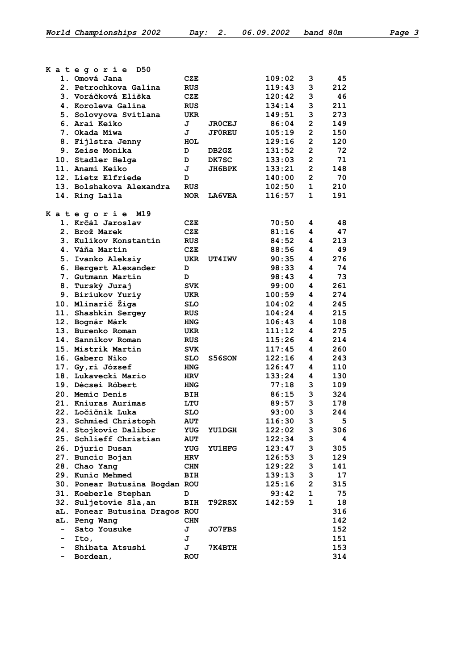|   | D50                            |            |               |        |                         |     |
|---|--------------------------------|------------|---------------|--------|-------------------------|-----|
|   | Kategorie<br>1. Omová Jana     | CZE        |               | 109:02 | 3                       | 45  |
|   | 2. Petrochkova Galina          | <b>RUS</b> |               | 119:43 | 3                       | 212 |
|   | 3. Voráčková Eliška            | CZE        |               | 120:42 | 3                       | 46  |
|   | 4. Koroleva Galina             | <b>RUS</b> |               | 134:14 | 3                       | 211 |
|   |                                |            |               | 149:51 | 3                       | 273 |
|   | 5. Solovyova Svitlana          | UKR        |               |        |                         |     |
|   | 6. Arai Keiko                  | J          | <b>JROCEJ</b> | 86:04  | $\mathbf{2}$            | 149 |
|   | 7. Okada Miwa                  | J          | <b>JF0REU</b> | 105:19 | $\overline{2}$          | 150 |
|   | 8. Fijlstra Jenny              | HOL        |               | 129:16 | $\mathbf{2}$            | 120 |
|   | 9. Zeise Monika                | D          | DB2GZ         | 131:52 | $\overline{2}$          | 72  |
|   | 10. Stadler Helga              | D          | DK7SC         | 133:03 | $\overline{2}$          | 71  |
|   | 11. Anami Keiko                | J          | JH6BPK        | 133:21 | $\overline{2}$          | 148 |
|   | 12. Lietz Elfriede             | D          |               | 140:00 | $\overline{2}$          | 70  |
|   | 13. Bolshakova Alexandra       | <b>RUS</b> |               | 102:50 | $\mathbf{1}$            | 210 |
|   | 14. Ring Laila                 | <b>NOR</b> | <b>LA6VEA</b> | 116:57 | $\mathbf{1}$            | 191 |
|   | Kategorie<br>M19               |            |               |        |                         |     |
|   | 1. Krčál Jaroslav              | CZE        |               | 70:50  | 4                       | 48  |
|   | 2. Brož Marek                  | CZE        |               | 81:16  | 4                       | 47  |
|   | 3. Kulikov Konstantin          | <b>RUS</b> |               | 84:52  | 4                       | 213 |
|   | 4. Váňa Martin                 | <b>CZE</b> |               | 88:56  | 4                       | 49  |
|   | 5. Ivanko Aleksiy              | UKR        | <b>UT4IWV</b> | 90:35  | 4                       | 276 |
|   | 6. Hergert Alexander           | D          |               | 98:33  | 4                       | 74  |
|   | 7. Gutmann Martin              | D          |               | 98:43  | 4                       | 73  |
|   | 8. Turský Juraj                | <b>SVK</b> |               | 99:00  | 4                       | 261 |
|   | 9. Biriukov Yuriy              | UKR        |               | 100:59 | 4                       | 274 |
|   | 10. Mlinarič Žiga              | <b>SLO</b> |               | 104:02 | 4                       | 245 |
|   | 11. Shashkin Sergey            | <b>RUS</b> |               | 104:24 | 4                       | 215 |
|   | 12. Bognár Márk                | <b>HNG</b> |               | 106:43 | 4                       | 108 |
|   | 13. Burenko Roman              | <b>UKR</b> |               | 111:12 | 4                       | 275 |
|   | 14. Sannikov Roman             | <b>RUS</b> |               | 115:26 | 4                       | 214 |
|   | 15. Mistrík Martin             |            |               | 117:45 | 4                       | 260 |
|   |                                | <b>SVK</b> |               |        |                         |     |
|   | 16. Gaberc Niko                | <b>SLO</b> | S56SON        | 122:16 | 4                       | 243 |
|   | 17. Gy, ri József              | <b>HNG</b> |               | 126:47 | 4                       | 110 |
|   | 18. Lukavecki Mario            | <b>HRV</b> |               | 133:24 | 4                       | 130 |
|   | 19. Décsei Róbert              | <b>HNG</b> |               | 77:18  | 3                       | 109 |
|   | 20. Memic Denis                | BIH        |               | 86:15  | 3                       | 324 |
|   | 21. Kniuras Aurimas            | LTU        |               | 89:57  | 3                       | 178 |
|   | 22. Ločičnik Luka              | <b>SLO</b> |               | 93:00  | 3                       | 244 |
|   | 23. Schmied Christoph          | <b>AUT</b> |               | 116:30 | 3                       | 5   |
|   | 24. Stojkovic Dalibor          | YUG        | <b>YU1DGH</b> | 122:02 | 3                       | 306 |
|   | 25. Schlieff Christian         | <b>AUT</b> |               | 122:34 | 3                       | 4   |
|   | 26. Djuric Dusan               | YUG        | <b>YU1HFG</b> | 123:47 | 3                       | 305 |
|   | 27. Buncic Bojan               | <b>HRV</b> |               | 126:53 | 3                       | 129 |
|   | 28. Chao Yang                  | CHN        |               | 129:22 | 3                       | 141 |
|   | 29. Kunic Mehmed               | BIH        |               | 139:13 | 3                       | 17  |
|   | 30. Ponear Butusina Bogdan ROU |            |               | 125:16 | $\overline{\mathbf{c}}$ | 315 |
|   | 31. Koeberle Stephan           | D          |               | 93:42  | $\mathbf 1$             | 75  |
|   | 32. Suljetovie Sla, an         | BIH        | <b>T92RSX</b> | 142:59 | $\mathbf{1}$            | 18  |
|   | aL. Ponear Butusina Dragos ROU |            |               |        |                         | 316 |
|   | aL. Peng Wang                  | <b>CHN</b> |               |        |                         | 142 |
| - | Sato Yousuke                   | J          | <b>JO7FBS</b> |        |                         | 152 |
|   | Ito,                           | J          |               |        |                         | 151 |
|   | Shibata Atsushi                | J          | 7К4ВТН        |        |                         | 153 |
|   | Bordean,                       | <b>ROU</b> |               |        |                         | 314 |
|   |                                |            |               |        |                         |     |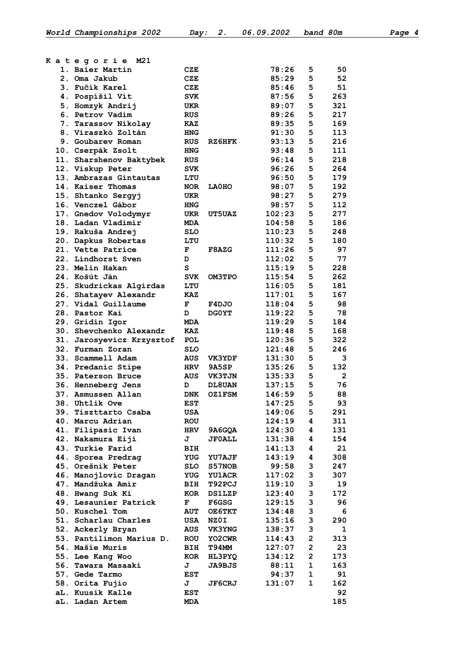|  | Kategorie M21                                |                   |                               |                  |                         |              |
|--|----------------------------------------------|-------------------|-------------------------------|------------------|-------------------------|--------------|
|  | 1. Baier Martin                              | CZE               |                               | 78:26            | 5                       | 50           |
|  | 2. Oma Jakub                                 | CZE               |                               | 85:29            | 5                       | 52           |
|  | 3. Fučík Karel                               | CZE               |                               | 85:46            | 5                       | 51           |
|  | 4. Pospíšil Vít                              | <b>SVK</b>        |                               | 87:56            | 5                       | 263          |
|  | 5. Homzyk Andrij                             | UKR               |                               | 89:07            | 5                       | 321          |
|  | 6. Petrov Vadim                              | <b>RUS</b>        |                               | 89:26            | 5                       | 217          |
|  | 7. Tarassov Nikolay                          | <b>KAZ</b>        |                               | 89:35            | 5                       | 169          |
|  | 8. Viraszkó Zoltán                           | <b>HNG</b>        |                               | 91:30            | 5                       | 113          |
|  | 9. Goubarey Roman                            | <b>RUS</b>        | RZ6HFK                        | 93:13            | 5                       | 216          |
|  | 10. Cserpák Zsolt                            | <b>HNG</b>        |                               | 93:48            | 5                       | 111          |
|  | 11. Sharshenov Baktybek                      | <b>RUS</b>        |                               | 96:14            | 5                       | 218          |
|  | 12. Viskup Peter                             | <b>SVK</b>        |                               | 96:26            | 5                       | 264          |
|  | 13. Ambrazas Gintautas                       | LTU               |                               | 96:50            | 5                       | 179          |
|  | 14. Kaiser Thomas                            | <b>NOR</b>        | <b>LA0HO</b>                  | 98:07            | 5                       | 192          |
|  | 15. Shtanko Sergyj                           | UKR               |                               | 98:27            | 5                       | 279          |
|  | 16. Venczel Gábor                            | <b>HNG</b>        |                               | 98:57            | 5                       | 112          |
|  | 17. Gnedov Volodymyr                         | UKR               | <b>UT5UAZ</b>                 | 102:23           | 5                       | 277          |
|  | 18. Ladan Vladimir                           | <b>MDA</b>        |                               | 104:58           | 5                       | 186          |
|  | 19. Rakuša Andrej                            | <b>SLO</b>        |                               | 110:23           | 5                       | 248          |
|  | 20. Dapkus Robertas                          | LTU               |                               | 110:32           | 5                       | 180          |
|  | 21. Vette Patrice                            | F                 | F8AZG                         | 111:26           | 5                       | 97           |
|  | 22. Lindhorst Sven                           | D                 |                               | 112:02           | 5                       | 77           |
|  | 23. Melin Hakan                              | s                 |                               | 115:19           | 5                       | 228          |
|  | 24. Košút Ján                                | <b>SVK</b>        | <b>OM3TPO</b>                 | 115:54           | 5                       | 262          |
|  | 25. Skudrickas Algirdas                      | LTU               |                               | 116:05<br>117:01 | 5<br>5                  | 181<br>167   |
|  | 26. Shatayev Alexandr<br>27. Vidal Guillaume | KAZ<br>F          | F4DJO                         | 118:04           | 5                       | 98           |
|  | 28. Pastor Kai                               | D                 | <b>DGOYT</b>                  | 119:22           | 5                       | 78           |
|  | 29. Gridin Igor                              | <b>MDA</b>        |                               | 119:29           | 5                       | 184          |
|  | 30. Shevchenko Alexandr                      | <b>KAZ</b>        |                               | 119:48           | 5                       | 168          |
|  | 31. Jarosyevicz Krzysztof                    | POL               |                               | 120:36           | 5                       | 322          |
|  | 32. Furman Zoran                             | <b>SLO</b>        |                               | 121:48           | 5                       | 246          |
|  | 33. Scammell Adam                            | AUS               | <b>VK3YDF</b>                 | 131:30           | 5                       | 3            |
|  | 34. Predanic Stipe                           | <b>HRV</b>        | <b>9A5SP</b>                  | 135:26           | 5                       | 132          |
|  | 35. Paterson Bruce                           | AUS               | <b>VK3TJN</b>                 | 135:33           | 5                       | $\mathbf{2}$ |
|  | 36. Henneberg Jens                           | D                 | <b>DL8UAN</b>                 | 137:15           | 5                       | 76           |
|  | 37. Asmussen Allan                           | <b>DNK</b>        | <b>OZ1FSM</b>                 | 146:59           | 5                       | 88           |
|  | 38. Uhtlik Ove                               | <b>EST</b>        |                               | 147:25           | 5                       | 93           |
|  | 39. Tiszttarto Csaba                         | USA               |                               | 149:06           | 5                       | 291          |
|  | 40. Marcu Adrian                             | ROU               |                               | 124:19           | 4                       | 311          |
|  | 41. Filipasic Ivan                           | <b>HRV</b>        | 9A6GQA                        | 124:30           | 4                       | 131          |
|  | 42. Nakamura Eiji                            | J                 | <b>JF0ALL</b>                 | 131:38           | 4                       | 154          |
|  | 43. Turkie Farid                             | BIH               |                               | 141:13           | 4                       | 21           |
|  | 44. Sporea Predrag                           | YUG               | <b>YU7AJF</b>                 | 143:19           | 4                       | 308          |
|  | 45. Orešnik Peter                            | SLO               | S57NOB                        | 99:58            | 3                       | 247          |
|  | 46. Manojlovic Dragan                        | YUG               | <b>YU1ACR</b>                 | 117:02           | 3                       | 307          |
|  | 47. Mandžuka Amir                            | <b>BIH</b>        | <b>T92PCJ</b>                 | 119:10           | 3                       | 19           |
|  | 48. Hwang Suk Ki                             | KOR               | <b>DS1LZP</b>                 | 123:40           | 3                       | 172          |
|  | 49. Lesaunier Patrick                        | F                 | F6GSG                         | 129:15           | 3                       | 96           |
|  | 50. Kuschel Tom                              | <b>AUT</b>        | OE6TKT                        | 134:48           | 3                       | 6            |
|  | 51. Scharlau Charles                         | USA               | NZ0I                          | 135:16           | 3<br>3                  | 290          |
|  | 52. Ackerly Bryan                            | AUS               | <b>VK3YNG</b>                 | 138:37           | $\overline{\mathbf{c}}$ | $\mathbf{1}$ |
|  | 53. Pantilimon Marius D.<br>54. Mašie Muris  | <b>ROU</b><br>BIH | <b>YO2CWR</b><br><b>T94MM</b> | 114:43<br>127:07 | 2                       | 313<br>23    |
|  | 55. Lee Kang Woo                             | KOR               | HL3PYQ                        | 134:12           | $\mathbf{2}$            | 173          |
|  | 56. Tawara Masaaki                           | J                 | <b>JA9BJS</b>                 | 88:11            | 1                       | 163          |
|  | 57. Gede Tarmo                               | EST               |                               | 94:37            | 1                       | 91           |
|  | 58. Orita Fujio                              | J                 | <b>JF6CRJ</b>                 | 131:07           | $\mathbf 1$             | 162          |
|  | aL. Kuusik Kalle                             | EST               |                               |                  |                         | 92           |
|  | aL. Ladan Artem                              | MDA               |                               |                  |                         | 185          |
|  |                                              |                   |                               |                  |                         |              |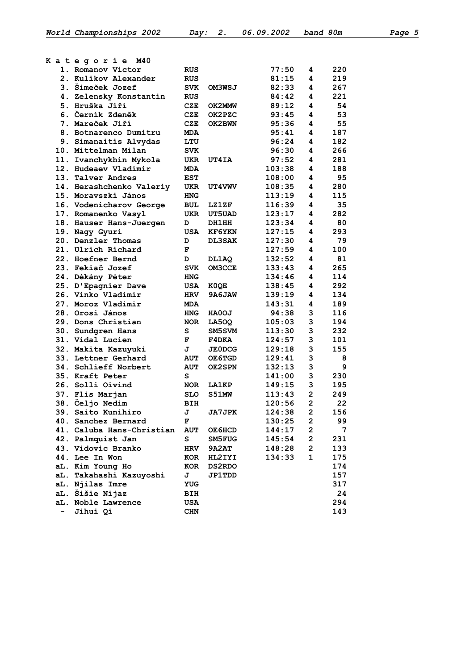| Kategorie<br>M40                          |            |               |                |                         |            |
|-------------------------------------------|------------|---------------|----------------|-------------------------|------------|
| 1. Romanov Victor<br>2. Kulikov Alexander | <b>RUS</b> |               | 77:50<br>81:15 | 4                       | 220<br>219 |
| 3. Šimeček Jozef                          | <b>RUS</b> |               | 82:33          | 4<br>4                  | 267        |
|                                           | <b>SVK</b> | OM3WSJ        |                | 4                       | 221        |
| 4. Zelensky Konstantin<br>5. Hruška Jiří  | <b>RUS</b> |               | 84:42<br>89:12 | 4                       |            |
| 6. Černík Zdeněk                          | CZE        | OK2MMW        |                |                         | 54<br>53   |
| 7. Mareček Jiří                           | CZE        | OK2PZC        | 93:45          | 4                       | 55         |
| 8. Botnarenco Dumitru                     | CZE        | OK2BWN        | 95:36          | 4                       |            |
|                                           | <b>MDA</b> |               | 95:41<br>96:24 | 4<br>4                  | 187<br>182 |
| 9. Simanaitis Alvydas                     | LTU        |               |                |                         |            |
| 10. Mittelman Milan                       | <b>SVK</b> |               | 96:30          | 4                       | 266        |
| 11. Ivanchykhin Mykola                    | UKR        | UT4IA         | 97:52          | 4                       | 281        |
| 12. Hudeaev Vladimir                      | <b>MDA</b> |               | 103:38         | 4                       | 188        |
| 13. Talver Andres                         | <b>EST</b> |               | 108:00         | 4                       | 95         |
| 14. Herashchenko Valeriy                  | UKR        | <b>UT4VWV</b> | 108:35         | 4                       | 280        |
| 15. Moravszki János                       | <b>HNG</b> |               | 113:19         | 4                       | 115        |
| 16. Vodenicharov George                   | BUL        | <b>LZ1ZF</b>  | 116:39         | 4                       | 35         |
| 17. Romanenko Vasyl                       | UKR        | <b>UT5UAD</b> | 123:17         | 4                       | 282        |
| 18. Hauser Hans-Juergen                   | D          | DH1HH         | 123:34         | 4                       | 80         |
| 19. Nagy Gyuri                            | <b>USA</b> | <b>KF6YKN</b> | 127:15         | 4                       | 293        |
| 20. Denzler Thomas                        | D          | <b>DL3SAK</b> | 127:30         | 4                       | 79         |
| 21. Ulrich Richard                        | F          |               | 127:59         | 4                       | 100        |
| 22. Hoefner Bernd                         | D          | DL1AQ         | 132:52         | 4                       | 81         |
| 23. Fekiač Jozef                          | <b>SVK</b> | OM3CCE        | 133:43         | 4                       | 265        |
| 24. Dékány Péter                          | <b>HNG</b> |               | 134:46         | 4                       | 114        |
| 25. D'Epagnier Dave                       | USA        | K0QE          | 138:45         | 4                       | 292        |
| 26. Vinko Vladimir                        | <b>HRV</b> | 9A6JAW        | 139:19         | 4                       | 134        |
| 27. Moroz Vladimir                        | <b>MDA</b> |               | 143:31         | 4                       | 189        |
| 28. Orosi János                           | <b>HNG</b> | <b>HAOOJ</b>  | 94:38          | 3                       | 116        |
| 29. Dons Christian                        | <b>NOR</b> | LA50Q         | 105:03         | 3                       | 194        |
| 30. Sundgren Hans                         | s          | SM5SVM        | 113:30         | 3                       | 232        |
| 31. Vidal Lucien                          | F          | F4DKA         | 124:57         | 3                       | 101        |
| 32. Makita Kazuyuki                       | J          | <b>JE0DCG</b> | 129:18         | 3                       | 155        |
| 33. Lettner Gerhard                       | <b>AUT</b> | OE6TGD        | 129:41         | 3                       | 8          |
| 34. Schlieff Norbert                      | <b>AUT</b> | OE2SPN        | 132:13         | 3                       | 9          |
| 35. Kraft Peter                           | s          |               | 141:00         | 3                       | 230        |
| 26. Solli Oivind                          | <b>NOR</b> | LA1KP         | 149:15         | 3                       | 195        |
| 37. Flis Marjan                           | <b>SLO</b> | S51MW         | 113:43         | $\overline{2}$          | 249        |
| 38. Čeljo Nedim                           | BIH        |               | 120:56         | $\overline{2}$          | 22         |
| 39. Saito Kunihiro                        | J          | <b>JA7JPK</b> | 124:38         | 2                       | 156        |
| 40. Sanchez Bernard                       | F          |               | 130:25         | $\overline{2}$          | 99         |
| 41. Caluba Hans-Christian                 | <b>AUT</b> | <b>OE6HCD</b> | 144:17         | $\mathbf{2}$            | 7          |
| 42. Palmquist Jan                         | s          | <b>SM5FUG</b> | 145:54         | $\mathbf{2}$            | 231        |
| 43. Vidovic Branko                        | <b>HRV</b> | <b>9A2AT</b>  | 148:28         | $\overline{\mathbf{c}}$ | 133        |
| 44. Lee In Won                            | KOR        | HL2IYI        | 134:33         | $\mathbf{1}$            | 175        |
| aL. Kim Young Ho                          | KOR        | <b>DS2RDO</b> |                |                         | 174        |
| aL. Takahashi Kazuyoshi                   | J          | <b>JP1TDD</b> |                |                         | 157        |
| aL. Njilas Imre                           | YUG        |               |                |                         | 317        |
| aL. Šišie Nijaz                           | BIH        |               |                |                         | 24         |
| aL. Noble Lawrence                        | USA        |               |                |                         | 294        |
| Jihui Qi                                  | <b>CHN</b> |               |                |                         | 143        |
|                                           |            |               |                |                         |            |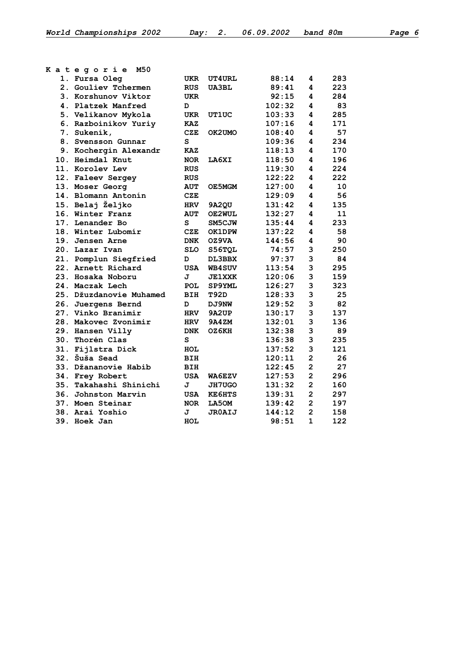| Kategorie<br>M50        |            |               |        |                         |     |
|-------------------------|------------|---------------|--------|-------------------------|-----|
| 1. Fursa Oleg           | UKR        | <b>UT4URL</b> | 88:14  | 4                       | 283 |
| 2. Gouliev Tchermen     | <b>RUS</b> | <b>UA3BL</b>  | 89:41  | 4                       | 223 |
| 3. Korshunov Viktor     | UKR        |               | 92:15  | 4                       | 284 |
| 4. Platzek Manfred      | D          |               | 102:32 | 4                       | 83  |
| 5. Velikanov Mykola     | <b>UKR</b> | UT1UC         | 103:33 | 4                       | 285 |
| 6. Razboinikov Yuriy    | <b>KAZ</b> |               | 107:16 | 4                       | 171 |
| 7. Sukeník,             | CZE        | OK2UMO        | 108:40 | 4                       | 57  |
| 8. Svensson Gunnar      | S          |               | 109:36 | 4                       | 234 |
| 9. Kochergin Alexandr   | <b>KAZ</b> |               | 118:13 | 4                       | 170 |
| 10. Heimdal Knut        | <b>NOR</b> | LA6XI         | 118:50 | 4                       | 196 |
| 11. Korolev Lev         | <b>RUS</b> |               | 119:30 | 4                       | 224 |
| 12. Faleev Sergey       | <b>RUS</b> |               | 122:22 | 4                       | 222 |
| 13. Moser Georg         | <b>AUT</b> | OE5MGM        | 127:00 | 4                       | 10  |
| 14. Blomann Antonín     | <b>CZE</b> |               | 129:09 | 4                       | 56  |
| 15. Belaj Željko        | <b>HRV</b> | 9A2QU         | 131:42 | 4                       | 135 |
| 16. Winter Franz        | <b>AUT</b> | OE2WUL        | 132:27 | 4                       | 11  |
| 17. Lenander Bo         | s          | SM5CJW        | 135:44 | 4                       | 233 |
| 18. Winter Lubomír      | CZE        | OK1DPW        | 137:22 | 4                       | 58  |
| 19. Jensen Arne         | <b>DNK</b> | OZ9VA         | 144:56 | 4                       | 90  |
| 20. Lazar Ivan          | <b>SLO</b> | S56TQL        | 74:57  | 3                       | 250 |
| 21. Pomplun Siegfried   | D          | DL3BBX        | 97:37  | 3                       | 84  |
| 22. Arnett Richard      | <b>USA</b> | <b>WB4SUV</b> | 113:54 | 3                       | 295 |
| 23. Hosaka Noboru       | J          | <b>JE1XXK</b> | 120:06 | 3                       | 159 |
| 24. Maczak Lech         | <b>POL</b> | SP9YML        | 126:27 | 3                       | 323 |
| 25. Džuzdanovie Muhamed | BIH        | T92D          | 128:33 | 3                       | 25  |
| 26. Juergens Bernd      | D          | DJ9NW         | 129:52 | 3                       | 82  |
| 27. Vinko Branimir      | <b>HRV</b> | 9A2UP         | 130:17 | 3                       | 137 |
| 28. Makovec Zvonimir    | <b>HRV</b> | <b>9A4ZM</b>  | 132:01 | 3                       | 136 |
| 29. Hansen Villy        | <b>DNK</b> | OZ6KH         | 132:38 | 3                       | 89  |
| 30. Thorén Clas         | s          |               | 136:38 | 3                       | 235 |
| 31. Fijlstra Dick       | HOL        |               | 137:52 | 3                       | 121 |
| 32. Šuša Sead           | BIH        |               | 120:11 | $\overline{2}$          | 26  |
| 33. Džananovie Habib    | BIH        |               | 122:45 | $\overline{\mathbf{c}}$ | 27  |
| 34. Frey Robert         | USA        | WA6EZV        | 127:53 | $\overline{2}$          | 296 |
| 35. Takahashi Shinichi  | J          | <b>JH7UGO</b> | 131:32 | $\overline{2}$          | 160 |
| 36. Johnston Marvin     | USA        | <b>KE6HTS</b> | 139:31 | $\overline{2}$          | 297 |
| 37. Moen Steinar        | <b>NOR</b> | LA50M         | 139:42 | $\overline{\mathbf{c}}$ | 197 |
| 38. Arai Yoshio         | J          | <b>JROAIJ</b> | 144:12 | $\overline{\mathbf{c}}$ | 158 |
| 39. Hoek Jan            | HOL        |               | 98:51  | $\mathbf{1}$            | 122 |